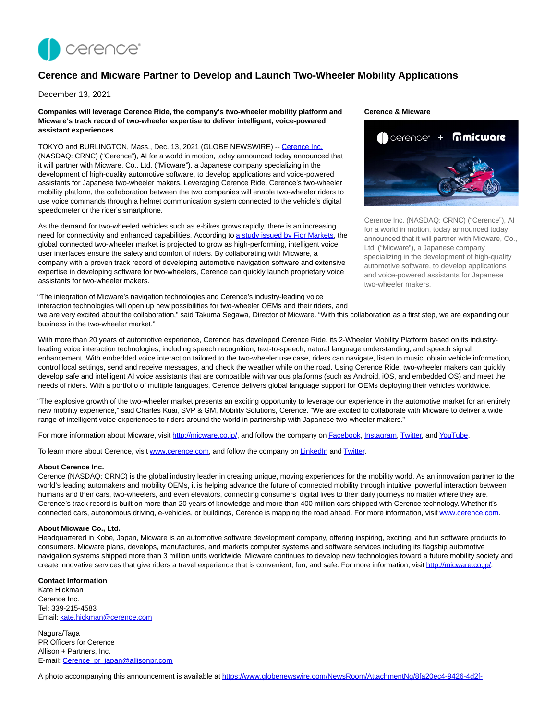

# **Cerence and Micware Partner to Develop and Launch Two-Wheeler Mobility Applications**

December 13, 2021

**Companies will leverage Cerence Ride, the company's two-wheeler mobility platform and Micware's track record of two-wheeler expertise to deliver intelligent, voice-powered assistant experiences**

TOKYO and BURLINGTON, Mass., Dec. 13, 2021 (GLOBE NEWSWIRE) -- [Cerence Inc.](https://www.globenewswire.com/Tracker?data=E15rwBxo6K4uMjlDzOEZDkgXxc02-2rigbfloHm78Pnqm0_V5g6CxqB8ZyzgtXlDNr0JXL7wjOB0km4wElW8iA==) (NASDAQ: CRNC) ("Cerence"), AI for a world in motion, today announced today announced that it will partner with Micware, Co., Ltd. ("Micware"), a Japanese company specializing in the development of high-quality automotive software, to develop applications and voice-powered assistants for Japanese two-wheeler makers. Leveraging Cerence Ride, Cerence's two-wheeler mobility platform, the collaboration between the two companies will enable two-wheeler riders to use voice commands through a helmet communication system connected to the vehicle's digital speedometer or the rider's smartphone.

As the demand for two-wheeled vehicles such as e-bikes grows rapidly, there is an increasing need for connectivity and enhanced capabilities. According t[o a study issued by Fior Markets,](https://www.globenewswire.com/Tracker?data=pb1o4NBh9fiNWLpoUttyQb9ULh0pfu_ATvRIMl1w0A_x4HYr8WSRSCpAj8doVV7JmGC7sn7cae89NQJTK7PSEtn-8LIA_5n4cnT0pDmUlWnJGpOUKaaJidQ9SSfsisqkG0PfPE5wXS1YQ4rkvBW9cXPD5yeXjGEoqt4VwQ-HFakxUTl1-6t_mZb4x60M0RtxWmmmUMu7ndU82JuMinBjjlemqMcsyRm2xm0MD6m-NS0oPDWM5ic_bXMQKpp5tiAY14h5A9Y_oveluJUQlUe_fv9NCEzxU-kcnDthaLv9P2o=) the global connected two-wheeler market is projected to grow as high-performing, intelligent voice user interfaces ensure the safety and comfort of riders. By collaborating with Micware, a company with a proven track record of developing automotive navigation software and extensive expertise in developing software for two-wheelers, Cerence can quickly launch proprietary voice assistants for two-wheeler makers.

"The integration of Micware's navigation technologies and Cerence's industry-leading voice interaction technologies will open up new possibilities for two-wheeler OEMs and their riders, and

#### **Cerence & Micware**



Cerence Inc. (NASDAQ: CRNC) ("Cerence"), AI for a world in motion, today announced today announced that it will partner with Micware, Co., Ltd. ("Micware"), a Japanese company specializing in the development of high-quality automotive software, to develop applications and voice-powered assistants for Japanese two-wheeler makers.

we are very excited about the collaboration," said Takuma Segawa, Director of Micware. "With this collaboration as a first step, we are expanding our business in the two-wheeler market."

With more than 20 years of automotive experience, Cerence has developed Cerence Ride, its 2-Wheeler Mobility Platform based on its industryleading voice interaction technologies, including speech recognition, text-to-speech, natural language understanding, and speech signal enhancement. With embedded voice interaction tailored to the two-wheeler use case, riders can navigate, listen to music, obtain vehicle information, control local settings, send and receive messages, and check the weather while on the road. Using Cerence Ride, two-wheeler makers can quickly develop safe and intelligent AI voice assistants that are compatible with various platforms (such as Android, iOS, and embedded OS) and meet the needs of riders. With a portfolio of multiple languages, Cerence delivers global language support for OEMs deploying their vehicles worldwide.

"The explosive growth of the two-wheeler market presents an exciting opportunity to leverage our experience in the automotive market for an entirely new mobility experience," said Charles Kuai, SVP & GM, Mobility Solutions, Cerence. "We are excited to collaborate with Micware to deliver a wide range of intelligent voice experiences to riders around the world in partnership with Japanese two-wheeler makers."

For more information about Micware, visit [http://micware.co.jp/,](https://www.globenewswire.com/Tracker?data=7EDQFMND0rgctgmiR_wRSARradrmCIrjjdaajOzVncDMZsAmyWpUxMvv4SiCpsUMVrYzPJh1YqXm_MY1RTpYqg==) and follow the company o[n Facebook,](https://www.globenewswire.com/Tracker?data=13sO8g5TpsUqrZ5eyRnYE8TPRbGqimf9WQGw5dZVbZGYrgMKzGkgGm7fLvXFFsYUEH3PKA8bwfaSv9BLHSxNKdEOi7xOpBgABSC-JJv-mkw=) [Instagram,](https://www.globenewswire.com/Tracker?data=6WVa1jAvW-6yPEQ3Qc1AU9oQuOlLCi9YsWXjOWUQC_q05suxcXd3wZ8pm-ziu5GPXzg7x4rihz36ueOzty2fY3FS99V3rOp2Psc2fF4nv30=) [Twitter,](https://www.globenewswire.com/Tracker?data=Gf2AaKg9SdPTdk_cUDEnos52PUkd_EZeRrA6mxYfaqjhI4KMmU7ZGJa_thMNROmwRn1TAO0O6GcuZa81FhkzLA==) an[d YouTube.](https://www.globenewswire.com/Tracker?data=QrNwJ_SDddgnBfyJPU5SOlnDv-lJLoeC2RKQWrHfqLzWQAmLPPeW2t8Q9eQH-tCyKkjgPYhC18zAO-nQkrBwzTaA4RTkVs4oNCMt36oCbNWdG83_8dCM6dHhqinHKqBU)

To learn more about Cerence, visit [www.cerence.com,](https://www.globenewswire.com/Tracker?data=N3bvw0Pl20OnxAEWC3tF-bUqKrqqgarfIaDTLb2ELNdHv9TBThvxmnXN5ckrxBEEfRme2pggSu-LSy8qm8t87g==) and follow the company o[n LinkedIn a](https://www.globenewswire.com/Tracker?data=y8Fn8tdJZKVBgJFO7kfhodDzJMGm-b2akTdll5F7WWvxVf4PGNHNQl-I7MaflfLbvBh3Ofb9uN_HC3fXN-ilssjnQSGkSW6Yc-kyUtmvAFo=)nd [Twitter.](https://www.globenewswire.com/Tracker?data=Gf2AaKg9SdPTdk_cUDEnoghvDL3d19vCfXAVRaXP_M0atitTU_UUgcRZ_aVZTTNCcgG49mGIhRKPsSV9C-3VZA==)

#### **About Cerence Inc.**

Cerence (NASDAQ: CRNC) is the global industry leader in creating unique, moving experiences for the mobility world. As an innovation partner to the world's leading automakers and mobility OEMs, it is helping advance the future of connected mobility through intuitive, powerful interaction between humans and their cars, two-wheelers, and even elevators, connecting consumers' digital lives to their daily journeys no matter where they are. Cerence's track record is built on more than 20 years of knowledge and more than 400 million cars shipped with Cerence technology. Whether it's connected cars, autonomous driving, e-vehicles, or buildings, Cerence is mapping the road ahead. For more information, visi[t www.cerence.com.](https://www.globenewswire.com/Tracker?data=N3bvw0Pl20OnxAEWC3tF-XJnd9zCOLUQppDt7APWoiLPViwtPfeosvV5OTlfDGNxfsLKrGr399RvjIbxqWxxcw==)

### **About Micware Co., Ltd.**

Headquartered in Kobe, Japan, Micware is an automotive software development company, offering inspiring, exciting, and fun software products to consumers. Micware plans, develops, manufactures, and markets computer systems and software services including its flagship automotive navigation systems shipped more than 3 million units worldwide. Micware continues to develop new technologies toward a future mobility society and create innovative services that give riders a travel experience that is convenient, fun, and safe. For more information, visit [http://micware.co.jp/.](https://www.globenewswire.com/Tracker?data=7EDQFMND0rgctgmiR_wRSARradrmCIrjjdaajOzVncCMet38lbTcrQNgUBgHAgNJTyQnXyHKc0nLqb_SygDLu0nELVFdMCbQ1g3PGg_vMi0=)

## **Contact Information**

Kate Hickman Cerence Inc. Tel: 339-215-4583 Email[: kate.hickman@cerence.com](https://www.globenewswire.com/Tracker?data=aJS71HHMjjx9KOmhapVLeJrPBW-7RPEOOQFNlgwETcJn9GJpj-Q969AFf8-fpDc_Lvdz7sQmCLpxRfBQqRk1IkkGwFtxfl60z2P_RhXkT6o=)

Nagura/Taga PR Officers for Cerence Allison + Partners, Inc. E-mail: [Cerence\\_pr\\_japan@allisonpr.com](https://www.globenewswire.com/Tracker?data=E15rwBxo6K4uMjlDzOEZDvBv902-8DmA3v0hUHb1RJ17gEMMuVhSI3Y1FoZej66rNEmrcoK-YMKPSv0P2N9skpWu-p4jye-AQYQzh5Lmq2szioUiXtLi5OkjAdCmWgGT)

A photo accompanying this announcement is available a[t https://www.globenewswire.com/NewsRoom/AttachmentNg/8fa20ec4-9426-4d2f-](https://www.globenewswire.com/Tracker?data=hnuZsXyBDUmWsz5rzIBoGAY0Bxx9TeEm3PH3-qolx5W6c4cSVh-ZoAm8MeewtQb62dumfJdpPsrH7c-3KHxdDOGKzfI_eh2stmfEO_THl4FpnnImjOxTlJYscvx449tWl1bY8Om6NE0vIKkAxrxxamq3J4JWl1Gr4nUyaR_VRFYERZYcYD7ED05Fwm2Hfp3R_UEirCTsr3zaBuqfaW1DBvVBS2VRLZ2Hj43SZkJhmNeJQ6_UDDzGgTZ-bA8HZhPFdrHJEi6avpKG8EfTrvOUuw==)